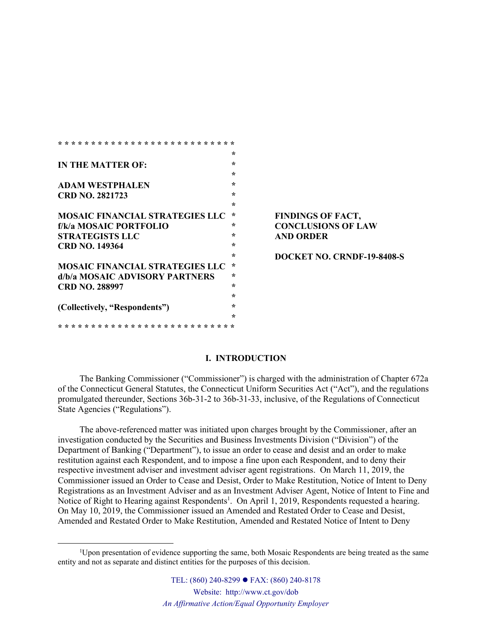|                                        | ÷       |
|----------------------------------------|---------|
| <b>IN THE MATTER OF:</b>               | ÷       |
|                                        | ÷       |
| <b>ADAM WESTPHALEN</b>                 | ÷       |
| <b>CRD NO. 2821723</b>                 | ÷       |
|                                        | $\star$ |
| <b>MOSAIC FINANCIAL STRATEGIES LLC</b> | $\star$ |
| f/k/a MOSAIC PORTFOLIO                 | ∗       |
| <b>STRATEGISTS LLC</b>                 | ÷       |
| <b>CRD NO. 149364</b>                  | ÷       |
|                                        | ÷       |
| MOSAIC FINANCIAL STRATEGIES LLC        | ∗       |
| d/b/a MOSAIC ADVISORY PARTNERS         | ÷       |
| <b>CRD NO. 288997</b>                  | ÷       |
|                                        | ÷       |
| (Collectively, "Respondents")          | ÷       |
|                                        | ÷       |
|                                        |         |

### $\mathbf{FINDINGS}$  **OF FACT, f/k/a MOSAIC PORTFOLIO \* CONCLUSIONS OF LAW STRATEGISTS LLC \* AND ORDER**

**\* DOCKET NO. CRNDF-19-8408-S**

# **I. INTRODUCTION**

The Banking Commissioner ("Commissioner") is charged with the administration of Chapter 672a of the Connecticut General Statutes, the Connecticut Uniform Securities Act ("Act"), and the regulations promulgated thereunder, Sections 36b-31-2 to 36b-31-33, inclusive, of the Regulations of Connecticut State Agencies ("Regulations").

The above-referenced matter was initiated upon charges brought by the Commissioner, after an investigation conducted by the Securities and Business Investments Division ("Division") of the Department of Banking ("Department"), to issue an order to cease and desist and an order to make restitution against each Respondent, and to impose a fine upon each Respondent, and to deny their respective investment adviser and investment adviser agent registrations. On March 11, 2019, the Commissioner issued an Order to Cease and Desist, Order to Make Restitution, Notice of Intent to Deny Registrations as an Investment Adviser and as an Investment Adviser Agent, Notice of Intent to Fine and Notice of Right to Hearing against Respondents<sup>1</sup>. On April 1, 2019, Respondents requested a hearing. On May 10, 2019, the Commissioner issued an Amended and Restated Order to Cease and Desist, Amended and Restated Order to Make Restitution, Amended and Restated Notice of Intent to Deny

<sup>&</sup>lt;sup>1</sup>Upon presentation of evidence supporting the same, both Mosaic Respondents are being treated as the same entity and not as separate and distinct entities for the purposes of this decision.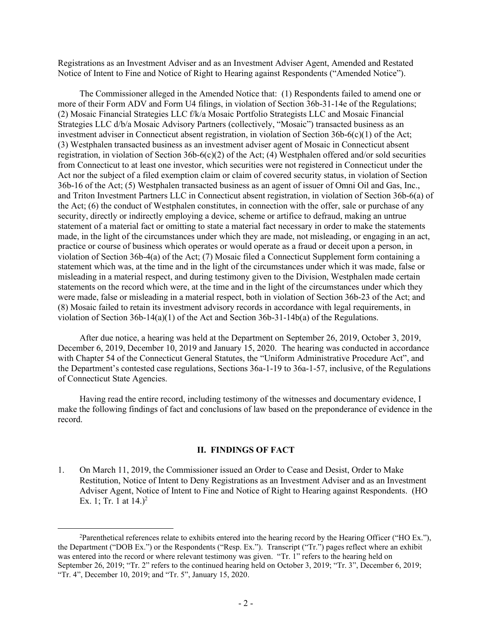Registrations as an Investment Adviser and as an Investment Adviser Agent, Amended and Restated Notice of Intent to Fine and Notice of Right to Hearing against Respondents ("Amended Notice").

The Commissioner alleged in the Amended Notice that: (1) Respondents failed to amend one or more of their Form ADV and Form U4 filings, in violation of Section 36b-31-14e of the Regulations; (2) Mosaic Financial Strategies LLC f/k/a Mosaic Portfolio Strategists LLC and Mosaic Financial Strategies LLC d/b/a Mosaic Advisory Partners (collectively, "Mosaic") transacted business as an investment adviser in Connecticut absent registration, in violation of Section  $36b-6(c)(1)$  of the Act; (3) Westphalen transacted business as an investment adviser agent of Mosaic in Connecticut absent registration, in violation of Section 36b-6(c)(2) of the Act; (4) Westphalen offered and/or sold securities from Connecticut to at least one investor, which securities were not registered in Connecticut under the Act nor the subject of a filed exemption claim or claim of covered security status, in violation of Section 36b-16 of the Act; (5) Westphalen transacted business as an agent of issuer of Omni Oil and Gas, Inc., and Triton Investment Partners LLC in Connecticut absent registration, in violation of Section 36b-6(a) of the Act; (6) the conduct of Westphalen constitutes, in connection with the offer, sale or purchase of any security, directly or indirectly employing a device, scheme or artifice to defraud, making an untrue statement of a material fact or omitting to state a material fact necessary in order to make the statements made, in the light of the circumstances under which they are made, not misleading, or engaging in an act, practice or course of business which operates or would operate as a fraud or deceit upon a person, in violation of Section 36b-4(a) of the Act; (7) Mosaic filed a Connecticut Supplement form containing a statement which was, at the time and in the light of the circumstances under which it was made, false or misleading in a material respect, and during testimony given to the Division, Westphalen made certain statements on the record which were, at the time and in the light of the circumstances under which they were made, false or misleading in a material respect, both in violation of Section 36b-23 of the Act; and (8) Mosaic failed to retain its investment advisory records in accordance with legal requirements, in violation of Section 36b-14(a)(1) of the Act and Section 36b-31-14b(a) of the Regulations.

After due notice, a hearing was held at the Department on September 26, 2019, October 3, 2019, December 6, 2019, December 10, 2019 and January 15, 2020. The hearing was conducted in accordance with Chapter 54 of the Connecticut General Statutes, the "Uniform Administrative Procedure Act", and the Department's contested case regulations, Sections 36a-1-19 to 36a-1-57, inclusive, of the Regulations of Connecticut State Agencies.

Having read the entire record, including testimony of the witnesses and documentary evidence, I make the following findings of fact and conclusions of law based on the preponderance of evidence in the record.

### **II. FINDINGS OF FACT**

1. On March 11, 2019, the Commissioner issued an Order to Cease and Desist, Order to Make Restitution, Notice of Intent to Deny Registrations as an Investment Adviser and as an Investment Adviser Agent, Notice of Intent to Fine and Notice of Right to Hearing against Respondents. (HO Ex. 1; Tr. 1 at  $14.$ )<sup>2</sup>

<sup>2</sup>Parenthetical references relate to exhibits entered into the hearing record by the Hearing Officer ("HO Ex."), the Department ("DOB Ex.") or the Respondents ("Resp. Ex."). Transcript ("Tr.") pages reflect where an exhibit was entered into the record or where relevant testimony was given. "Tr. 1" refers to the hearing held on September 26, 2019; "Tr. 2" refers to the continued hearing held on October 3, 2019; "Tr. 3", December 6, 2019; "Tr. 4", December 10, 2019; and "Tr. 5", January 15, 2020.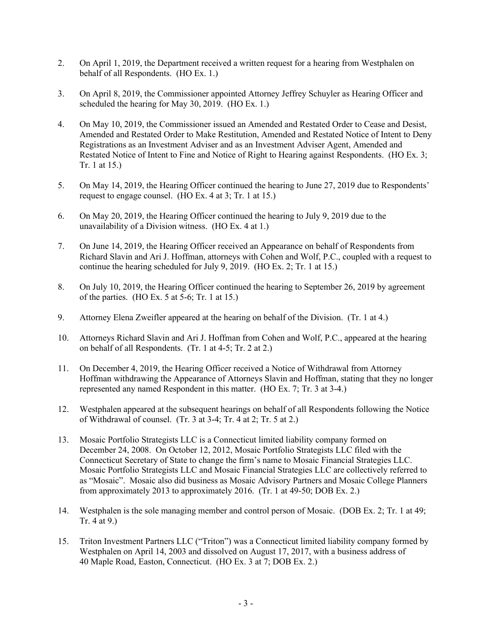- 2. On April 1, 2019, the Department received a written request for a hearing from Westphalen on behalf of all Respondents. (HO Ex. 1.)
- 3. On April 8, 2019, the Commissioner appointed Attorney Jeffrey Schuyler as Hearing Officer and scheduled the hearing for May 30, 2019. (HO Ex. 1.)
- 4. On May 10, 2019, the Commissioner issued an Amended and Restated Order to Cease and Desist, Amended and Restated Order to Make Restitution, Amended and Restated Notice of Intent to Deny Registrations as an Investment Adviser and as an Investment Adviser Agent, Amended and Restated Notice of Intent to Fine and Notice of Right to Hearing against Respondents. (HO Ex. 3; Tr. 1 at 15.)
- 5. On May 14, 2019, the Hearing Officer continued the hearing to June 27, 2019 due to Respondents' request to engage counsel. (HO Ex. 4 at 3; Tr. 1 at 15.)
- 6. On May 20, 2019, the Hearing Officer continued the hearing to July 9, 2019 due to the unavailability of a Division witness. (HO Ex. 4 at 1.)
- 7. On June 14, 2019, the Hearing Officer received an Appearance on behalf of Respondents from Richard Slavin and Ari J. Hoffman, attorneys with Cohen and Wolf, P.C., coupled with a request to continue the hearing scheduled for July 9, 2019. (HO Ex. 2; Tr. 1 at 15.)
- 8. On July 10, 2019, the Hearing Officer continued the hearing to September 26, 2019 by agreement of the parties. (HO Ex. 5 at 5-6; Tr. 1 at 15.)
- 9. Attorney Elena Zweifler appeared at the hearing on behalf of the Division. (Tr. 1 at 4.)
- 10. Attorneys Richard Slavin and Ari J. Hoffman from Cohen and Wolf, P.C., appeared at the hearing on behalf of all Respondents. (Tr. 1 at 4-5; Tr. 2 at 2.)
- 11. On December 4, 2019, the Hearing Officer received a Notice of Withdrawal from Attorney Hoffman withdrawing the Appearance of Attorneys Slavin and Hoffman, stating that they no longer represented any named Respondent in this matter. (HO Ex. 7; Tr. 3 at 3-4.)
- 12. Westphalen appeared at the subsequent hearings on behalf of all Respondents following the Notice of Withdrawal of counsel. (Tr. 3 at 3-4; Tr. 4 at 2; Tr. 5 at 2.)
- 13. Mosaic Portfolio Strategists LLC is a Connecticut limited liability company formed on December 24, 2008. On October 12, 2012, Mosaic Portfolio Strategists LLC filed with the Connecticut Secretary of State to change the firm's name to Mosaic Financial Strategies LLC. Mosaic Portfolio Strategists LLC and Mosaic Financial Strategies LLC are collectively referred to as "Mosaic". Mosaic also did business as Mosaic Advisory Partners and Mosaic College Planners from approximately 2013 to approximately 2016. (Tr. 1 at 49-50; DOB Ex. 2.)
- 14. Westphalen is the sole managing member and control person of Mosaic. (DOB Ex. 2; Tr. 1 at 49; Tr. 4 at 9.)
- 15. Triton Investment Partners LLC ("Triton") was a Connecticut limited liability company formed by Westphalen on April 14, 2003 and dissolved on August 17, 2017, with a business address of 40 Maple Road, Easton, Connecticut. (HO Ex. 3 at 7; DOB Ex. 2.)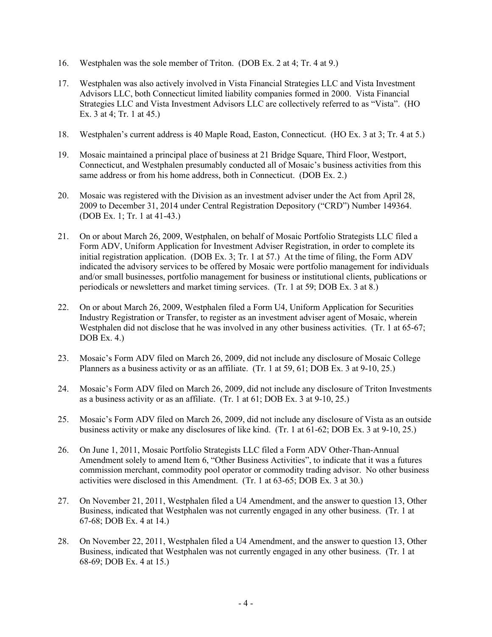- 16. Westphalen was the sole member of Triton. (DOB Ex. 2 at 4; Tr. 4 at 9.)
- 17. Westphalen was also actively involved in Vista Financial Strategies LLC and Vista Investment Advisors LLC, both Connecticut limited liability companies formed in 2000. Vista Financial Strategies LLC and Vista Investment Advisors LLC are collectively referred to as "Vista". (HO Ex. 3 at 4; Tr. 1 at 45.)
- 18. Westphalen's current address is 40 Maple Road, Easton, Connecticut. (HO Ex. 3 at 3; Tr. 4 at 5.)
- 19. Mosaic maintained a principal place of business at 21 Bridge Square, Third Floor, Westport, Connecticut, and Westphalen presumably conducted all of Mosaic's business activities from this same address or from his home address, both in Connecticut. (DOB Ex. 2.)
- 20. Mosaic was registered with the Division as an investment adviser under the Act from April 28, 2009 to December 31, 2014 under Central Registration Depository ("CRD") Number 149364. (DOB Ex. 1; Tr. 1 at 41-43.)
- 21. On or about March 26, 2009, Westphalen, on behalf of Mosaic Portfolio Strategists LLC filed a Form ADV, Uniform Application for Investment Adviser Registration, in order to complete its initial registration application. (DOB Ex. 3; Tr. 1 at 57.) At the time of filing, the Form ADV indicated the advisory services to be offered by Mosaic were portfolio management for individuals and/or small businesses, portfolio management for business or institutional clients, publications or periodicals or newsletters and market timing services. (Tr. 1 at 59; DOB Ex. 3 at 8.)
- 22. On or about March 26, 2009, Westphalen filed a Form U4, Uniform Application for Securities Industry Registration or Transfer, to register as an investment adviser agent of Mosaic, wherein Westphalen did not disclose that he was involved in any other business activities. (Tr. 1 at 65-67; DOB Ex. 4.)
- 23. Mosaic's Form ADV filed on March 26, 2009, did not include any disclosure of Mosaic College Planners as a business activity or as an affiliate. (Tr. 1 at 59, 61; DOB Ex. 3 at 9-10, 25.)
- 24. Mosaic's Form ADV filed on March 26, 2009, did not include any disclosure of Triton Investments as a business activity or as an affiliate. (Tr. 1 at 61; DOB Ex. 3 at 9-10, 25.)
- 25. Mosaic's Form ADV filed on March 26, 2009, did not include any disclosure of Vista as an outside business activity or make any disclosures of like kind. (Tr. 1 at 61-62; DOB Ex. 3 at 9-10, 25.)
- 26. On June 1, 2011, Mosaic Portfolio Strategists LLC filed a Form ADV Other-Than-Annual Amendment solely to amend Item 6, "Other Business Activities", to indicate that it was a futures commission merchant, commodity pool operator or commodity trading advisor. No other business activities were disclosed in this Amendment. (Tr. 1 at 63-65; DOB Ex. 3 at 30.)
- 27. On November 21, 2011, Westphalen filed a U4 Amendment, and the answer to question 13, Other Business, indicated that Westphalen was not currently engaged in any other business. (Tr. 1 at 67-68; DOB Ex. 4 at 14.)
- 28. On November 22, 2011, Westphalen filed a U4 Amendment, and the answer to question 13, Other Business, indicated that Westphalen was not currently engaged in any other business. (Tr. 1 at 68-69; DOB Ex. 4 at 15.)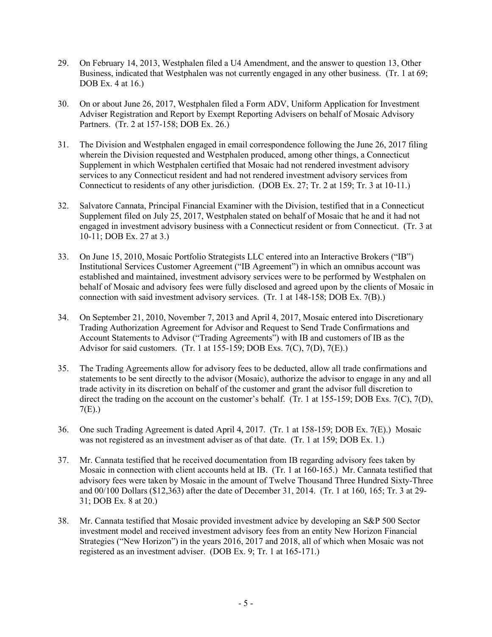- 29. On February 14, 2013, Westphalen filed a U4 Amendment, and the answer to question 13, Other Business, indicated that Westphalen was not currently engaged in any other business. (Tr. 1 at 69; DOB Ex. 4 at 16.)
- 30. On or about June 26, 2017, Westphalen filed a Form ADV, Uniform Application for Investment Adviser Registration and Report by Exempt Reporting Advisers on behalf of Mosaic Advisory Partners. (Tr. 2 at 157-158; DOB Ex. 26.)
- 31. The Division and Westphalen engaged in email correspondence following the June 26, 2017 filing wherein the Division requested and Westphalen produced, among other things, a Connecticut Supplement in which Westphalen certified that Mosaic had not rendered investment advisory services to any Connecticut resident and had not rendered investment advisory services from Connecticut to residents of any other jurisdiction. (DOB Ex. 27; Tr. 2 at 159; Tr. 3 at 10-11.)
- 32. Salvatore Cannata, Principal Financial Examiner with the Division, testified that in a Connecticut Supplement filed on July 25, 2017, Westphalen stated on behalf of Mosaic that he and it had not engaged in investment advisory business with a Connecticut resident or from Connecticut. (Tr. 3 at 10-11; DOB Ex. 27 at 3.)
- 33. On June 15, 2010, Mosaic Portfolio Strategists LLC entered into an Interactive Brokers ("IB") Institutional Services Customer Agreement ("IB Agreement") in which an omnibus account was established and maintained, investment advisory services were to be performed by Westphalen on behalf of Mosaic and advisory fees were fully disclosed and agreed upon by the clients of Mosaic in connection with said investment advisory services. (Tr. 1 at 148-158; DOB Ex. 7(B).)
- 34. On September 21, 2010, November 7, 2013 and April 4, 2017, Mosaic entered into Discretionary Trading Authorization Agreement for Advisor and Request to Send Trade Confirmations and Account Statements to Advisor ("Trading Agreements") with IB and customers of IB as the Advisor for said customers. (Tr. 1 at 155-159; DOB Exs. 7(C), 7(D), 7(E).)
- 35. The Trading Agreements allow for advisory fees to be deducted, allow all trade confirmations and statements to be sent directly to the advisor (Mosaic), authorize the advisor to engage in any and all trade activity in its discretion on behalf of the customer and grant the advisor full discretion to direct the trading on the account on the customer's behalf. (Tr. 1 at 155-159; DOB Exs. 7(C), 7(D), 7(E).)
- 36. One such Trading Agreement is dated April 4, 2017. (Tr. 1 at 158-159; DOB Ex. 7(E).) Mosaic was not registered as an investment adviser as of that date. (Tr. 1 at 159; DOB Ex. 1.)
- 37. Mr. Cannata testified that he received documentation from IB regarding advisory fees taken by Mosaic in connection with client accounts held at IB. (Tr. 1 at 160-165.) Mr. Cannata testified that advisory fees were taken by Mosaic in the amount of Twelve Thousand Three Hundred Sixty-Three and 00/100 Dollars (\$12,363) after the date of December 31, 2014. (Tr. 1 at 160, 165; Tr. 3 at 29- 31; DOB Ex. 8 at 20.)
- 38. Mr. Cannata testified that Mosaic provided investment advice by developing an S&P 500 Sector investment model and received investment advisory fees from an entity New Horizon Financial Strategies ("New Horizon") in the years 2016, 2017 and 2018, all of which when Mosaic was not registered as an investment adviser. (DOB Ex. 9; Tr. 1 at 165-171.)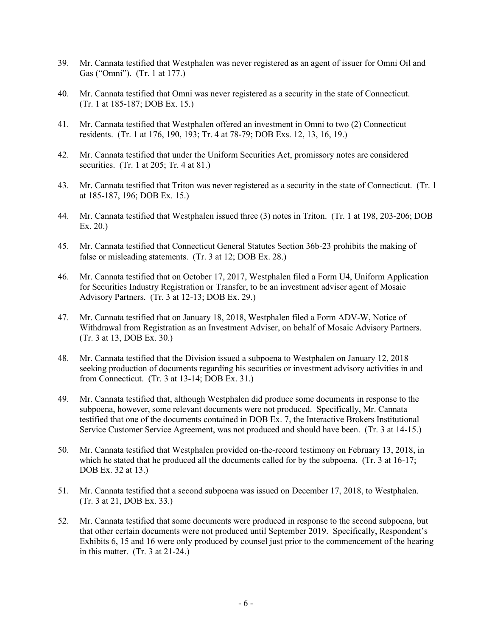- 39. Mr. Cannata testified that Westphalen was never registered as an agent of issuer for Omni Oil and Gas ("Omni"). (Tr. 1 at 177.)
- 40. Mr. Cannata testified that Omni was never registered as a security in the state of Connecticut. (Tr. 1 at 185-187; DOB Ex. 15.)
- 41. Mr. Cannata testified that Westphalen offered an investment in Omni to two (2) Connecticut residents. (Tr. 1 at 176, 190, 193; Tr. 4 at 78-79; DOB Exs. 12, 13, 16, 19.)
- 42. Mr. Cannata testified that under the Uniform Securities Act, promissory notes are considered securities. (Tr. 1 at  $205$ ; Tr. 4 at  $81$ .)
- 43. Mr. Cannata testified that Triton was never registered as a security in the state of Connecticut. (Tr. 1 at 185-187, 196; DOB Ex. 15.)
- 44. Mr. Cannata testified that Westphalen issued three (3) notes in Triton. (Tr. 1 at 198, 203-206; DOB Ex. 20.)
- 45. Mr. Cannata testified that Connecticut General Statutes Section 36b-23 prohibits the making of false or misleading statements. (Tr. 3 at 12; DOB Ex. 28.)
- 46. Mr. Cannata testified that on October 17, 2017, Westphalen filed a Form U4, Uniform Application for Securities Industry Registration or Transfer, to be an investment adviser agent of Mosaic Advisory Partners. (Tr. 3 at 12-13; DOB Ex. 29.)
- 47. Mr. Cannata testified that on January 18, 2018, Westphalen filed a Form ADV-W, Notice of Withdrawal from Registration as an Investment Adviser, on behalf of Mosaic Advisory Partners. (Tr. 3 at 13, DOB Ex. 30.)
- 48. Mr. Cannata testified that the Division issued a subpoena to Westphalen on January 12, 2018 seeking production of documents regarding his securities or investment advisory activities in and from Connecticut. (Tr. 3 at 13-14; DOB Ex. 31.)
- 49. Mr. Cannata testified that, although Westphalen did produce some documents in response to the subpoena, however, some relevant documents were not produced. Specifically, Mr. Cannata testified that one of the documents contained in DOB Ex. 7, the Interactive Brokers Institutional Service Customer Service Agreement, was not produced and should have been. (Tr. 3 at 14-15.)
- 50. Mr. Cannata testified that Westphalen provided on-the-record testimony on February 13, 2018, in which he stated that he produced all the documents called for by the subpoena. (Tr. 3 at 16-17; DOB Ex. 32 at 13.)
- 51. Mr. Cannata testified that a second subpoena was issued on December 17, 2018, to Westphalen. (Tr. 3 at 21, DOB Ex. 33.)
- 52. Mr. Cannata testified that some documents were produced in response to the second subpoena, but that other certain documents were not produced until September 2019. Specifically, Respondent's Exhibits 6, 15 and 16 were only produced by counsel just prior to the commencement of the hearing in this matter. (Tr. 3 at 21-24.)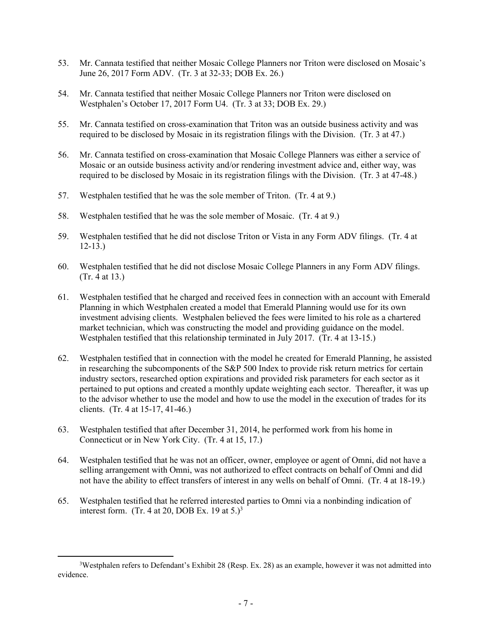- 53. Mr. Cannata testified that neither Mosaic College Planners nor Triton were disclosed on Mosaic's June 26, 2017 Form ADV. (Tr. 3 at 32-33; DOB Ex. 26.)
- 54. Mr. Cannata testified that neither Mosaic College Planners nor Triton were disclosed on Westphalen's October 17, 2017 Form U4. (Tr. 3 at 33; DOB Ex. 29.)
- 55. Mr. Cannata testified on cross-examination that Triton was an outside business activity and was required to be disclosed by Mosaic in its registration filings with the Division. (Tr. 3 at 47.)
- 56. Mr. Cannata testified on cross-examination that Mosaic College Planners was either a service of Mosaic or an outside business activity and/or rendering investment advice and, either way, was required to be disclosed by Mosaic in its registration filings with the Division. (Tr. 3 at 47-48.)
- 57. Westphalen testified that he was the sole member of Triton. (Tr. 4 at 9.)
- 58. Westphalen testified that he was the sole member of Mosaic. (Tr. 4 at 9.)
- 59. Westphalen testified that he did not disclose Triton or Vista in any Form ADV filings. (Tr. 4 at 12-13.)
- 60. Westphalen testified that he did not disclose Mosaic College Planners in any Form ADV filings. (Tr. 4 at 13.)
- 61. Westphalen testified that he charged and received fees in connection with an account with Emerald Planning in which Westphalen created a model that Emerald Planning would use for its own investment advising clients. Westphalen believed the fees were limited to his role as a chartered market technician, which was constructing the model and providing guidance on the model. Westphalen testified that this relationship terminated in July 2017. (Tr. 4 at 13-15.)
- 62. Westphalen testified that in connection with the model he created for Emerald Planning, he assisted in researching the subcomponents of the S&P 500 Index to provide risk return metrics for certain industry sectors, researched option expirations and provided risk parameters for each sector as it pertained to put options and created a monthly update weighting each sector. Thereafter, it was up to the advisor whether to use the model and how to use the model in the execution of trades for its clients. (Tr. 4 at 15-17, 41-46.)
- 63. Westphalen testified that after December 31, 2014, he performed work from his home in Connecticut or in New York City. (Tr. 4 at 15, 17.)
- 64. Westphalen testified that he was not an officer, owner, employee or agent of Omni, did not have a selling arrangement with Omni, was not authorized to effect contracts on behalf of Omni and did not have the ability to effect transfers of interest in any wells on behalf of Omni. (Tr. 4 at 18-19.)
- 65. Westphalen testified that he referred interested parties to Omni via a nonbinding indication of interest form. (Tr. 4 at 20, DOB Ex. 19 at  $5.$ )<sup>3</sup>

<sup>3</sup>Westphalen refers to Defendant's Exhibit 28 (Resp. Ex. 28) as an example, however it was not admitted into evidence.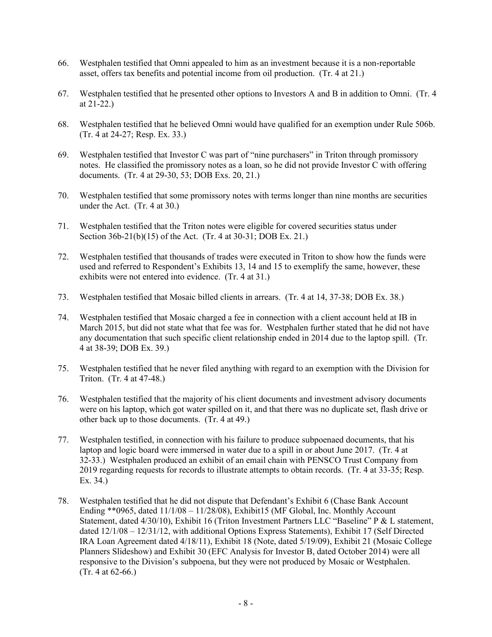- 66. Westphalen testified that Omni appealed to him as an investment because it is a non-reportable asset, offers tax benefits and potential income from oil production. (Tr. 4 at 21.)
- 67. Westphalen testified that he presented other options to Investors A and B in addition to Omni. (Tr. 4 at 21-22.)
- 68. Westphalen testified that he believed Omni would have qualified for an exemption under Rule 506b. (Tr. 4 at 24-27; Resp. Ex. 33.)
- 69. Westphalen testified that Investor C was part of "nine purchasers" in Triton through promissory notes. He classified the promissory notes as a loan, so he did not provide Investor C with offering documents. (Tr. 4 at 29-30, 53; DOB Exs. 20, 21.)
- 70. Westphalen testified that some promissory notes with terms longer than nine months are securities under the Act. (Tr. 4 at 30.)
- 71. Westphalen testified that the Triton notes were eligible for covered securities status under Section 36b-21(b)(15) of the Act. (Tr. 4 at 30-31; DOB Ex. 21.)
- 72. Westphalen testified that thousands of trades were executed in Triton to show how the funds were used and referred to Respondent's Exhibits 13, 14 and 15 to exemplify the same, however, these exhibits were not entered into evidence. (Tr. 4 at 31.)
- 73. Westphalen testified that Mosaic billed clients in arrears. (Tr. 4 at 14, 37-38; DOB Ex. 38.)
- 74. Westphalen testified that Mosaic charged a fee in connection with a client account held at IB in March 2015, but did not state what that fee was for. Westphalen further stated that he did not have any documentation that such specific client relationship ended in 2014 due to the laptop spill. (Tr. 4 at 38-39; DOB Ex. 39.)
- 75. Westphalen testified that he never filed anything with regard to an exemption with the Division for Triton. (Tr. 4 at 47-48.)
- 76. Westphalen testified that the majority of his client documents and investment advisory documents were on his laptop, which got water spilled on it, and that there was no duplicate set, flash drive or other back up to those documents. (Tr. 4 at 49.)
- 77. Westphalen testified, in connection with his failure to produce subpoenaed documents, that his laptop and logic board were immersed in water due to a spill in or about June 2017. (Tr. 4 at 32-33.) Westphalen produced an exhibit of an email chain with PENSCO Trust Company from 2019 regarding requests for records to illustrate attempts to obtain records. (Tr. 4 at 33-35; Resp. Ex. 34.)
- 78. Westphalen testified that he did not dispute that Defendant's Exhibit 6 (Chase Bank Account Ending \*\* 0965, dated  $11/1/08 - 11/28/08$ ), Exhibit15 (MF Global, Inc. Monthly Account Statement, dated 4/30/10), Exhibit 16 (Triton Investment Partners LLC "Baseline" P & L statement, dated 12/1/08 – 12/31/12, with additional Options Express Statements), Exhibit 17 (Self Directed IRA Loan Agreement dated 4/18/11), Exhibit 18 (Note, dated 5/19/09), Exhibit 21 (Mosaic College Planners Slideshow) and Exhibit 30 (EFC Analysis for Investor B, dated October 2014) were all responsive to the Division's subpoena, but they were not produced by Mosaic or Westphalen. (Tr. 4 at 62-66.)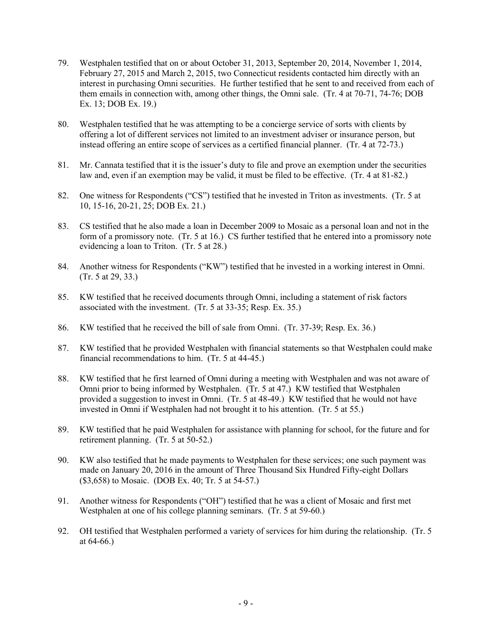- 79. Westphalen testified that on or about October 31, 2013, September 20, 2014, November 1, 2014, February 27, 2015 and March 2, 2015, two Connecticut residents contacted him directly with an interest in purchasing Omni securities. He further testified that he sent to and received from each of them emails in connection with, among other things, the Omni sale. (Tr. 4 at 70-71, 74-76; DOB Ex. 13; DOB Ex. 19.)
- 80. Westphalen testified that he was attempting to be a concierge service of sorts with clients by offering a lot of different services not limited to an investment adviser or insurance person, but instead offering an entire scope of services as a certified financial planner. (Tr. 4 at 72-73.)
- 81. Mr. Cannata testified that it is the issuer's duty to file and prove an exemption under the securities law and, even if an exemption may be valid, it must be filed to be effective. (Tr. 4 at 81-82.)
- 82. One witness for Respondents ("CS") testified that he invested in Triton as investments. (Tr. 5 at 10, 15-16, 20-21, 25; DOB Ex. 21.)
- 83. CS testified that he also made a loan in December 2009 to Mosaic as a personal loan and not in the form of a promissory note. (Tr. 5 at 16.) CS further testified that he entered into a promissory note evidencing a loan to Triton. (Tr. 5 at 28.)
- 84. Another witness for Respondents ("KW") testified that he invested in a working interest in Omni. (Tr. 5 at 29, 33.)
- 85. KW testified that he received documents through Omni, including a statement of risk factors associated with the investment. (Tr. 5 at 33-35; Resp. Ex. 35.)
- 86. KW testified that he received the bill of sale from Omni. (Tr. 37-39; Resp. Ex. 36.)
- 87. KW testified that he provided Westphalen with financial statements so that Westphalen could make financial recommendations to him. (Tr. 5 at 44-45.)
- 88. KW testified that he first learned of Omni during a meeting with Westphalen and was not aware of Omni prior to being informed by Westphalen. (Tr. 5 at 47.) KW testified that Westphalen provided a suggestion to invest in Omni. (Tr. 5 at 48-49.) KW testified that he would not have invested in Omni if Westphalen had not brought it to his attention. (Tr. 5 at 55.)
- 89. KW testified that he paid Westphalen for assistance with planning for school, for the future and for retirement planning. (Tr. 5 at 50-52.)
- 90. KW also testified that he made payments to Westphalen for these services; one such payment was made on January 20, 2016 in the amount of Three Thousand Six Hundred Fifty-eight Dollars (\$3,658) to Mosaic. (DOB Ex. 40; Tr. 5 at 54-57.)
- 91. Another witness for Respondents ("OH") testified that he was a client of Mosaic and first met Westphalen at one of his college planning seminars. (Tr. 5 at 59-60.)
- 92. OH testified that Westphalen performed a variety of services for him during the relationship. (Tr. 5 at 64-66.)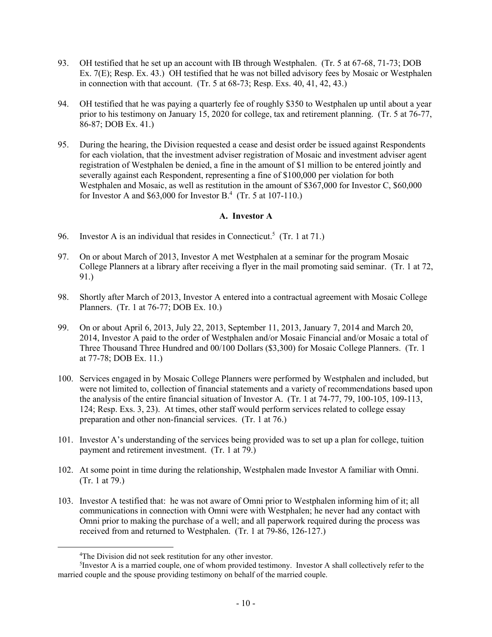- 93. OH testified that he set up an account with IB through Westphalen. (Tr. 5 at 67-68, 71-73; DOB Ex. 7(E); Resp. Ex. 43.) OH testified that he was not billed advisory fees by Mosaic or Westphalen in connection with that account. (Tr. 5 at 68-73; Resp. Exs. 40, 41, 42, 43.)
- 94. OH testified that he was paying a quarterly fee of roughly \$350 to Westphalen up until about a year prior to his testimony on January 15, 2020 for college, tax and retirement planning. (Tr. 5 at 76-77, 86-87; DOB Ex. 41.)
- 95. During the hearing, the Division requested a cease and desist order be issued against Respondents for each violation, that the investment adviser registration of Mosaic and investment adviser agent registration of Westphalen be denied, a fine in the amount of \$1 million to be entered jointly and severally against each Respondent, representing a fine of \$100,000 per violation for both Westphalen and Mosaic, as well as restitution in the amount of \$367,000 for Investor C, \$60,000 for Investor A and \$63,000 for Investor B. 4 (Tr. 5 at 107-110.)

# **A. Investor A**

- 96. Investor A is an individual that resides in Connecticut.<sup>5</sup> (Tr. 1 at 71.)
- 97. On or about March of 2013, Investor A met Westphalen at a seminar for the program Mosaic College Planners at a library after receiving a flyer in the mail promoting said seminar. (Tr. 1 at 72, 91.)
- 98. Shortly after March of 2013, Investor A entered into a contractual agreement with Mosaic College Planners. (Tr. 1 at 76-77; DOB Ex. 10.)
- 99. On or about April 6, 2013, July 22, 2013, September 11, 2013, January 7, 2014 and March 20, 2014, Investor A paid to the order of Westphalen and/or Mosaic Financial and/or Mosaic a total of Three Thousand Three Hundred and 00/100 Dollars (\$3,300) for Mosaic College Planners. (Tr. 1 at 77-78; DOB Ex. 11.)
- 100. Services engaged in by Mosaic College Planners were performed by Westphalen and included, but were not limited to, collection of financial statements and a variety of recommendations based upon the analysis of the entire financial situation of Investor A. (Tr. 1 at 74-77, 79, 100-105, 109-113, 124; Resp. Exs. 3, 23). At times, other staff would perform services related to college essay preparation and other non-financial services. (Tr. 1 at 76.)
- 101. Investor A's understanding of the services being provided was to set up a plan for college, tuition payment and retirement investment. (Tr. 1 at 79.)
- 102. At some point in time during the relationship, Westphalen made Investor A familiar with Omni. (Tr. 1 at 79.)
- 103. Investor A testified that: he was not aware of Omni prior to Westphalen informing him of it; all communications in connection with Omni were with Westphalen; he never had any contact with Omni prior to making the purchase of a well; and all paperwork required during the process was received from and returned to Westphalen. (Tr. 1 at 79-86, 126-127.)

<sup>4</sup>The Division did not seek restitution for any other investor.

<sup>5</sup> Investor A is a married couple, one of whom provided testimony. Investor A shall collectively refer to the married couple and the spouse providing testimony on behalf of the married couple.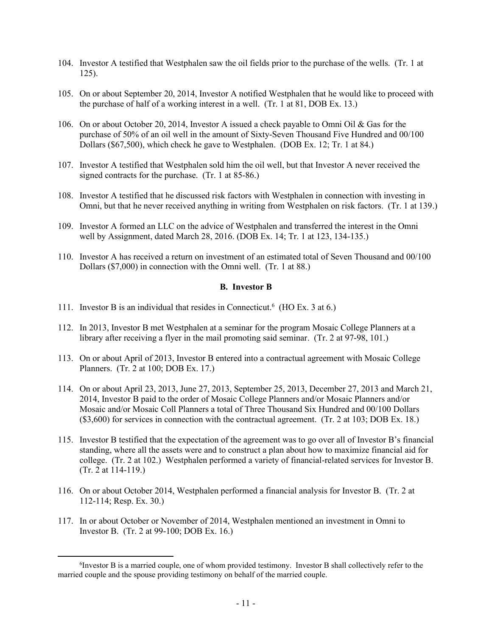- 104. Investor A testified that Westphalen saw the oil fields prior to the purchase of the wells. (Tr. 1 at 125).
- 105. On or about September 20, 2014, Investor A notified Westphalen that he would like to proceed with the purchase of half of a working interest in a well. (Tr. 1 at 81, DOB Ex. 13.)
- 106. On or about October 20, 2014, Investor A issued a check payable to Omni Oil & Gas for the purchase of 50% of an oil well in the amount of Sixty-Seven Thousand Five Hundred and 00/100 Dollars (\$67,500), which check he gave to Westphalen. (DOB Ex. 12; Tr. 1 at 84.)
- 107. Investor A testified that Westphalen sold him the oil well, but that Investor A never received the signed contracts for the purchase. (Tr. 1 at 85-86.)
- 108. Investor A testified that he discussed risk factors with Westphalen in connection with investing in Omni, but that he never received anything in writing from Westphalen on risk factors. (Tr. 1 at 139.)
- 109. Investor A formed an LLC on the advice of Westphalen and transferred the interest in the Omni well by Assignment, dated March 28, 2016. (DOB Ex. 14; Tr. 1 at 123, 134-135.)
- 110. Investor A has received a return on investment of an estimated total of Seven Thousand and 00/100 Dollars (\$7,000) in connection with the Omni well. (Tr. 1 at 88.)

# **B. Investor B**

- 111. Investor B is an individual that resides in Connecticut.<sup>6</sup> (HO Ex. 3 at 6.)
- 112. In 2013, Investor B met Westphalen at a seminar for the program Mosaic College Planners at a library after receiving a flyer in the mail promoting said seminar. (Tr. 2 at 97-98, 101.)
- 113. On or about April of 2013, Investor B entered into a contractual agreement with Mosaic College Planners. (Tr. 2 at 100; DOB Ex. 17.)
- 114. On or about April 23, 2013, June 27, 2013, September 25, 2013, December 27, 2013 and March 21, 2014, Investor B paid to the order of Mosaic College Planners and/or Mosaic Planners and/or Mosaic and/or Mosaic Coll Planners a total of Three Thousand Six Hundred and 00/100 Dollars (\$3,600) for services in connection with the contractual agreement. (Tr. 2 at 103; DOB Ex. 18.)
- 115. Investor B testified that the expectation of the agreement was to go over all of Investor B's financial standing, where all the assets were and to construct a plan about how to maximize financial aid for college. (Tr. 2 at 102.) Westphalen performed a variety of financial-related services for Investor B. (Tr. 2 at 114-119.)
- 116. On or about October 2014, Westphalen performed a financial analysis for Investor B. (Tr. 2 at 112-114; Resp. Ex. 30.)
- 117. In or about October or November of 2014, Westphalen mentioned an investment in Omni to Investor B. (Tr. 2 at 99-100; DOB Ex. 16.)

<sup>6</sup> Investor B is a married couple, one of whom provided testimony. Investor B shall collectively refer to the married couple and the spouse providing testimony on behalf of the married couple.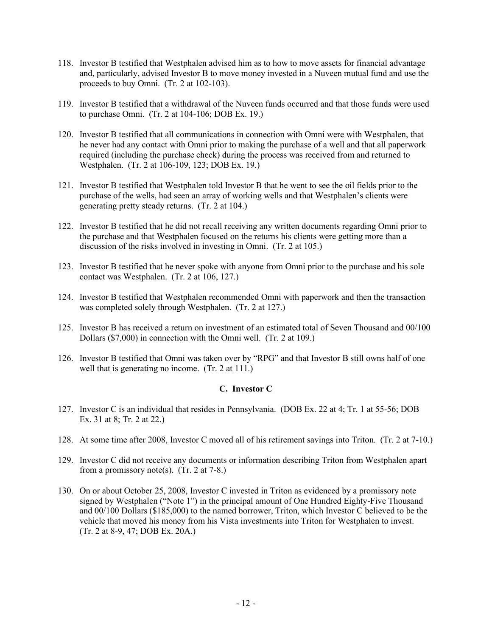- 118. Investor B testified that Westphalen advised him as to how to move assets for financial advantage and, particularly, advised Investor B to move money invested in a Nuveen mutual fund and use the proceeds to buy Omni. (Tr. 2 at 102-103).
- 119. Investor B testified that a withdrawal of the Nuveen funds occurred and that those funds were used to purchase Omni. (Tr. 2 at 104-106; DOB Ex. 19.)
- 120. Investor B testified that all communications in connection with Omni were with Westphalen, that he never had any contact with Omni prior to making the purchase of a well and that all paperwork required (including the purchase check) during the process was received from and returned to Westphalen. (Tr. 2 at 106-109, 123; DOB Ex. 19.)
- 121. Investor B testified that Westphalen told Investor B that he went to see the oil fields prior to the purchase of the wells, had seen an array of working wells and that Westphalen's clients were generating pretty steady returns. (Tr. 2 at 104.)
- 122. Investor B testified that he did not recall receiving any written documents regarding Omni prior to the purchase and that Westphalen focused on the returns his clients were getting more than a discussion of the risks involved in investing in Omni. (Tr. 2 at 105.)
- 123. Investor B testified that he never spoke with anyone from Omni prior to the purchase and his sole contact was Westphalen. (Tr. 2 at 106, 127.)
- 124. Investor B testified that Westphalen recommended Omni with paperwork and then the transaction was completed solely through Westphalen. (Tr. 2 at 127.)
- 125. Investor B has received a return on investment of an estimated total of Seven Thousand and 00/100 Dollars (\$7,000) in connection with the Omni well. (Tr. 2 at 109.)
- 126. Investor B testified that Omni was taken over by "RPG" and that Investor B still owns half of one well that is generating no income. (Tr. 2 at 111.)

#### **C. Investor C**

- 127. Investor C is an individual that resides in Pennsylvania. (DOB Ex. 22 at 4; Tr. 1 at 55-56; DOB Ex. 31 at 8; Tr. 2 at 22.)
- 128. At some time after 2008, Investor C moved all of his retirement savings into Triton. (Tr. 2 at 7-10.)
- 129. Investor C did not receive any documents or information describing Triton from Westphalen apart from a promissory note(s). (Tr. 2 at 7-8.)
- 130. On or about October 25, 2008, Investor C invested in Triton as evidenced by a promissory note signed by Westphalen ("Note 1") in the principal amount of One Hundred Eighty-Five Thousand and 00/100 Dollars (\$185,000) to the named borrower, Triton, which Investor C believed to be the vehicle that moved his money from his Vista investments into Triton for Westphalen to invest. (Tr. 2 at 8-9, 47; DOB Ex. 20A.)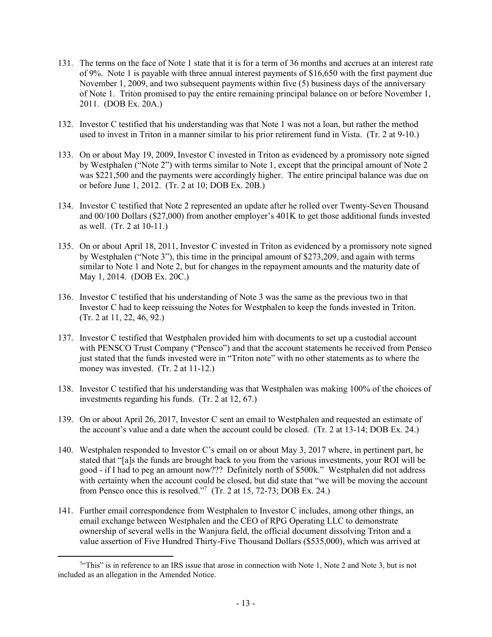- 131. The terms on the face of Note 1 state that it is for a term of 36 months and accrues at an interest rate of 9%. Note 1 is payable with three annual interest payments of \$16,650 with the first payment due November 1, 2009, and two subsequent payments within five (5) business days of the anniversary of Note 1. Triton promised to pay the entire remaining principal balance on or before November 1, 2011. (DOB Ex. 20A.)
- 132. Investor C testified that his understanding was that Note 1 was not a loan, but rather the method used to invest in Triton in a manner similar to his prior retirement fund in Vista. (Tr. 2 at 9-10.)
- 133. On or about May 19, 2009, Investor C invested in Triton as evidenced by a promissory note signed by Westphalen ("Note 2") with terms similar to Note 1, except that the principal amount of Note 2 was \$221,500 and the payments were accordingly higher. The entire principal balance was due on or before June 1, 2012. (Tr. 2 at 10; DOB Ex. 20B.)
- 134. Investor C testified that Note 2 represented an update after he rolled over Twenty-Seven Thousand and 00/100 Dollars (\$27,000) from another employer's 401K to get those additional funds invested as well. (Tr. 2 at 10-11.)
- 135. On or about April 18, 2011, Investor C invested in Triton as evidenced by a promissory note signed by Westphalen ("Note 3"), this time in the principal amount of \$273,209, and again with terms similar to Note 1 and Note 2, but for changes in the repayment amounts and the maturity date of May 1, 2014. (DOB Ex. 20C.)
- 136. Investor C testified that his understanding of Note 3 was the same as the previous two in that Investor C had to keep reissuing the Notes for Westphalen to keep the funds invested in Triton. (Tr. 2 at 11, 22, 46, 92.)
- 137. Investor C testified that Westphalen provided him with documents to set up a custodial account with PENSCO Trust Company ("Pensco") and that the account statements he received from Pensco just stated that the funds invested were in "Triton note" with no other statements as to where the money was invested. (Tr. 2 at 11-12.)
- 138. Investor C testified that his understanding was that Westphalen was making 100% of the choices of investments regarding his funds. (Tr. 2 at 12, 67.)
- 139. On or about April 26, 2017, Investor C sent an email to Westphalen and requested an estimate of the account's value and a date when the account could be closed. (Tr. 2 at 13-14; DOB Ex. 24.)
- 140. Westphalen responded to Investor C's email on or about May 3, 2017 where, in pertinent part, he stated that "[a]s the funds are brought back to you from the various investments, your ROI will be good - if I had to peg an amount now??? Definitely north of \$500k." Westphalen did not address with certainty when the account could be closed, but did state that "we will be moving the account from Pensco once this is resolved."<sup>7</sup> (Tr. 2 at 15, 72-73; DOB Ex. 24.)
- 141. Further email correspondence from Westphalen to Investor C includes, among other things, an email exchange between Westphalen and the CEO of RPG Operating LLC to demonstrate ownership of several wells in the Wanjura field, the official document dissolving Triton and a value assertion of Five Hundred Thirty-Five Thousand Dollars (\$535,000), which was arrived at

<sup>&</sup>lt;sup>7</sup>"This" is in reference to an IRS issue that arose in connection with Note 1, Note 2 and Note 3, but is not included as an allegation in the Amended Notice.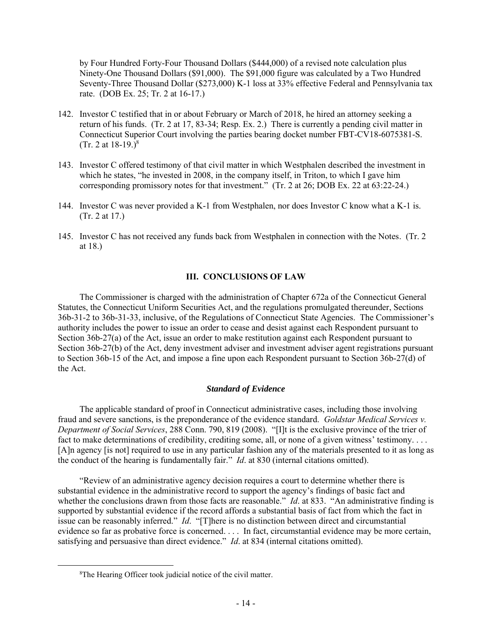by Four Hundred Forty-Four Thousand Dollars (\$444,000) of a revised note calculation plus Ninety-One Thousand Dollars (\$91,000). The \$91,000 figure was calculated by a Two Hundred Seventy-Three Thousand Dollar (\$273,000) K-1 loss at 33% effective Federal and Pennsylvania tax rate. (DOB Ex. 25; Tr. 2 at 16-17.)

- 142. Investor C testified that in or about February or March of 2018, he hired an attorney seeking a return of his funds. (Tr. 2 at 17, 83-34; Resp. Ex. 2.) There is currently a pending civil matter in Connecticut Superior Court involving the parties bearing docket number FBT-CV18-6075381-S. (Tr. 2 at  $18-19.$ )<sup>8</sup>
- 143. Investor C offered testimony of that civil matter in which Westphalen described the investment in which he states, "he invested in 2008, in the company itself, in Triton, to which I gave him corresponding promissory notes for that investment." (Tr. 2 at 26; DOB Ex. 22 at 63:22-24.)
- 144. Investor C was never provided a K-1 from Westphalen, nor does Investor C know what a K-1 is. (Tr. 2 at 17.)
- 145. Investor C has not received any funds back from Westphalen in connection with the Notes. (Tr. 2 at 18.)

#### **III. CONCLUSIONS OF LAW**

The Commissioner is charged with the administration of Chapter 672a of the Connecticut General Statutes, the Connecticut Uniform Securities Act, and the regulations promulgated thereunder, Sections 36b-31-2 to 36b-31-33, inclusive, of the Regulations of Connecticut State Agencies. The Commissioner's authority includes the power to issue an order to cease and desist against each Respondent pursuant to Section 36b-27(a) of the Act, issue an order to make restitution against each Respondent pursuant to Section 36b-27(b) of the Act, deny investment adviser and investment adviser agent registrations pursuant to Section 36b-15 of the Act, and impose a fine upon each Respondent pursuant to Section 36b-27(d) of the Act.

#### *Standard of Evidence*

The applicable standard of proof in Connecticut administrative cases, including those involving fraud and severe sanctions, is the preponderance of the evidence standard. *Goldstar Medical Services v. Department of Social Services*, 288 Conn. 790, 819 (2008). "[I]t is the exclusive province of the trier of fact to make determinations of credibility, crediting some, all, or none of a given witness' testimony.... [A]n agency [is not] required to use in any particular fashion any of the materials presented to it as long as the conduct of the hearing is fundamentally fair." *Id*. at 830 (internal citations omitted).

"Review of an administrative agency decision requires a court to determine whether there is substantial evidence in the administrative record to support the agency's findings of basic fact and whether the conclusions drawn from those facts are reasonable." *Id.* at 833. "An administrative finding is supported by substantial evidence if the record affords a substantial basis of fact from which the fact in issue can be reasonably inferred." *Id*. "[T]here is no distinction between direct and circumstantial evidence so far as probative force is concerned. . . . In fact, circumstantial evidence may be more certain, satisfying and persuasive than direct evidence." *Id*. at 834 (internal citations omitted).

<sup>8</sup>The Hearing Officer took judicial notice of the civil matter.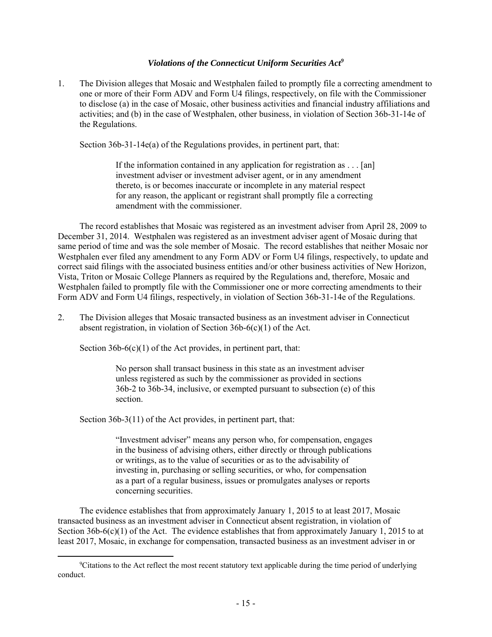# *Violations of the Connecticut Uniform Securities Act<sup>9</sup>*

1. The Division alleges that Mosaic and Westphalen failed to promptly file a correcting amendment to one or more of their Form ADV and Form U4 filings, respectively, on file with the Commissioner to disclose (a) in the case of Mosaic, other business activities and financial industry affiliations and activities; and (b) in the case of Westphalen, other business, in violation of Section 36b-31-14e of the Regulations.

Section 36b-31-14e(a) of the Regulations provides, in pertinent part, that:

If the information contained in any application for registration as . . . [an] investment adviser or investment adviser agent, or in any amendment thereto, is or becomes inaccurate or incomplete in any material respect for any reason, the applicant or registrant shall promptly file a correcting amendment with the commissioner.

The record establishes that Mosaic was registered as an investment adviser from April 28, 2009 to December 31, 2014. Westphalen was registered as an investment adviser agent of Mosaic during that same period of time and was the sole member of Mosaic. The record establishes that neither Mosaic nor Westphalen ever filed any amendment to any Form ADV or Form U4 filings, respectively, to update and correct said filings with the associated business entities and/or other business activities of New Horizon, Vista, Triton or Mosaic College Planners as required by the Regulations and, therefore, Mosaic and Westphalen failed to promptly file with the Commissioner one or more correcting amendments to their Form ADV and Form U4 filings, respectively, in violation of Section 36b-31-14e of the Regulations.

2. The Division alleges that Mosaic transacted business as an investment adviser in Connecticut absent registration, in violation of Section 36b-6(c)(1) of the Act.

Section  $36b-6(c)(1)$  of the Act provides, in pertinent part, that:

No person shall transact business in this state as an investment adviser unless registered as such by the commissioner as provided in sections 36b-2 to 36b-34, inclusive, or exempted pursuant to subsection (e) of this section.

Section 36b-3(11) of the Act provides, in pertinent part, that:

"Investment adviser" means any person who, for compensation, engages in the business of advising others, either directly or through publications or writings, as to the value of securities or as to the advisability of investing in, purchasing or selling securities, or who, for compensation as a part of a regular business, issues or promulgates analyses or reports concerning securities.

The evidence establishes that from approximately January 1, 2015 to at least 2017, Mosaic transacted business as an investment adviser in Connecticut absent registration, in violation of Section 36b-6(c)(1) of the Act. The evidence establishes that from approximately January 1, 2015 to at least 2017, Mosaic, in exchange for compensation, transacted business as an investment adviser in or

<sup>9</sup>Citations to the Act reflect the most recent statutory text applicable during the time period of underlying conduct.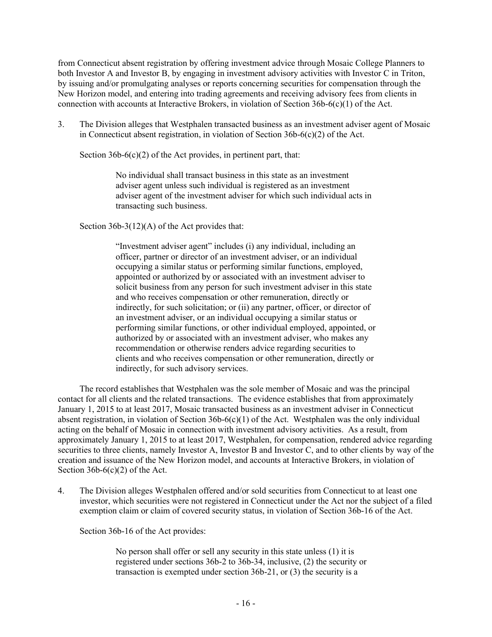from Connecticut absent registration by offering investment advice through Mosaic College Planners to both Investor A and Investor B, by engaging in investment advisory activities with Investor C in Triton, by issuing and/or promulgating analyses or reports concerning securities for compensation through the New Horizon model, and entering into trading agreements and receiving advisory fees from clients in connection with accounts at Interactive Brokers, in violation of Section 36b-6(c)(1) of the Act.

3. The Division alleges that Westphalen transacted business as an investment adviser agent of Mosaic in Connecticut absent registration, in violation of Section 36b-6(c)(2) of the Act.

Section  $36b-6(c)(2)$  of the Act provides, in pertinent part, that:

No individual shall transact business in this state as an investment adviser agent unless such individual is registered as an investment adviser agent of the investment adviser for which such individual acts in transacting such business.

Section 36b-3(12)(A) of the Act provides that:

"Investment adviser agent" includes (i) any individual, including an officer, partner or director of an investment adviser, or an individual occupying a similar status or performing similar functions, employed, appointed or authorized by or associated with an investment adviser to solicit business from any person for such investment adviser in this state and who receives compensation or other remuneration, directly or indirectly, for such solicitation; or (ii) any partner, officer, or director of an investment adviser, or an individual occupying a similar status or performing similar functions, or other individual employed, appointed, or authorized by or associated with an investment adviser, who makes any recommendation or otherwise renders advice regarding securities to clients and who receives compensation or other remuneration, directly or indirectly, for such advisory services.

The record establishes that Westphalen was the sole member of Mosaic and was the principal contact for all clients and the related transactions. The evidence establishes that from approximately January 1, 2015 to at least 2017, Mosaic transacted business as an investment adviser in Connecticut absent registration, in violation of Section 36b-6(c)(1) of the Act. Westphalen was the only individual acting on the behalf of Mosaic in connection with investment advisory activities. As a result, from approximately January 1, 2015 to at least 2017, Westphalen, for compensation, rendered advice regarding securities to three clients, namely Investor A, Investor B and Investor C, and to other clients by way of the creation and issuance of the New Horizon model, and accounts at Interactive Brokers, in violation of Section  $36b-6(c)(2)$  of the Act.

4. The Division alleges Westphalen offered and/or sold securities from Connecticut to at least one investor, which securities were not registered in Connecticut under the Act nor the subject of a filed exemption claim or claim of covered security status, in violation of Section 36b-16 of the Act.

Section 36b-16 of the Act provides:

No person shall offer or sell any security in this state unless (1) it is registered under sections 36b-2 to 36b-34, inclusive, (2) the security or transaction is exempted under section 36b-21, or (3) the security is a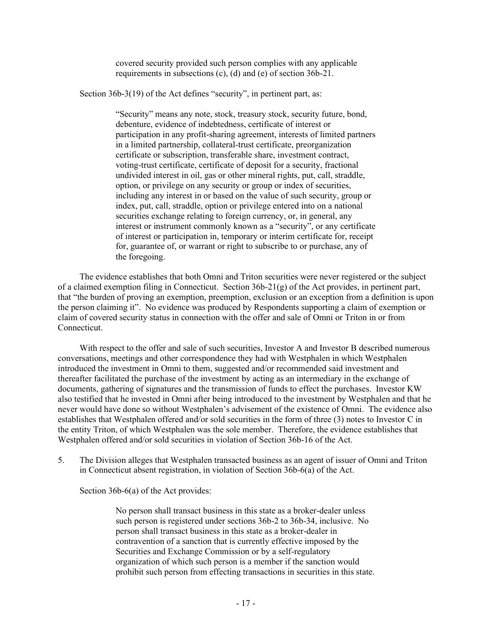covered security provided such person complies with any applicable requirements in subsections (c), (d) and (e) of section 36b-21.

Section 36b-3(19) of the Act defines "security", in pertinent part, as:

"Security" means any note, stock, treasury stock, security future, bond, debenture, evidence of indebtedness, certificate of interest or participation in any profit-sharing agreement, interests of limited partners in a limited partnership, collateral-trust certificate, preorganization certificate or subscription, transferable share, investment contract, voting-trust certificate, certificate of deposit for a security, fractional undivided interest in oil, gas or other mineral rights, put, call, straddle, option, or privilege on any security or group or index of securities, including any interest in or based on the value of such security, group or index, put, call, straddle, option or privilege entered into on a national securities exchange relating to foreign currency, or, in general, any interest or instrument commonly known as a "security", or any certificate of interest or participation in, temporary or interim certificate for, receipt for, guarantee of, or warrant or right to subscribe to or purchase, any of the foregoing.

The evidence establishes that both Omni and Triton securities were never registered or the subject of a claimed exemption filing in Connecticut. Section 36b-21(g) of the Act provides, in pertinent part, that "the burden of proving an exemption, preemption, exclusion or an exception from a definition is upon the person claiming it". No evidence was produced by Respondents supporting a claim of exemption or claim of covered security status in connection with the offer and sale of Omni or Triton in or from Connecticut.

With respect to the offer and sale of such securities, Investor A and Investor B described numerous conversations, meetings and other correspondence they had with Westphalen in which Westphalen introduced the investment in Omni to them, suggested and/or recommended said investment and thereafter facilitated the purchase of the investment by acting as an intermediary in the exchange of documents, gathering of signatures and the transmission of funds to effect the purchases. Investor KW also testified that he invested in Omni after being introduced to the investment by Westphalen and that he never would have done so without Westphalen's advisement of the existence of Omni. The evidence also establishes that Westphalen offered and/or sold securities in the form of three (3) notes to Investor C in the entity Triton, of which Westphalen was the sole member. Therefore, the evidence establishes that Westphalen offered and/or sold securities in violation of Section 36b-16 of the Act.

5. The Division alleges that Westphalen transacted business as an agent of issuer of Omni and Triton in Connecticut absent registration, in violation of Section 36b-6(a) of the Act.

Section 36b-6(a) of the Act provides:

No person shall transact business in this state as a broker-dealer unless such person is registered under sections 36b-2 to 36b-34, inclusive. No person shall transact business in this state as a broker-dealer in contravention of a sanction that is currently effective imposed by the Securities and Exchange Commission or by a self-regulatory organization of which such person is a member if the sanction would prohibit such person from effecting transactions in securities in this state.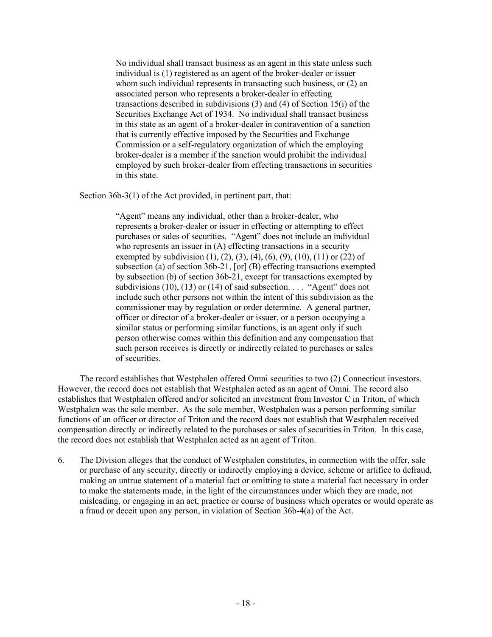No individual shall transact business as an agent in this state unless such individual is (1) registered as an agent of the broker-dealer or issuer whom such individual represents in transacting such business, or  $(2)$  an associated person who represents a broker-dealer in effecting transactions described in subdivisions (3) and (4) of Section 15(i) of the Securities Exchange Act of 1934. No individual shall transact business in this state as an agent of a broker-dealer in contravention of a sanction that is currently effective imposed by the Securities and Exchange Commission or a self-regulatory organization of which the employing broker-dealer is a member if the sanction would prohibit the individual employed by such broker-dealer from effecting transactions in securities in this state.

Section 36b-3(1) of the Act provided, in pertinent part, that:

"Agent" means any individual, other than a broker-dealer, who represents a broker-dealer or issuer in effecting or attempting to effect purchases or sales of securities. "Agent" does not include an individual who represents an issuer in (A) effecting transactions in a security exempted by subdivision  $(1)$ ,  $(2)$ ,  $(3)$ ,  $(4)$ ,  $(6)$ ,  $(9)$ ,  $(10)$ ,  $(11)$  or  $(22)$  of subsection (a) of section 36b-21, [or] (B) effecting transactions exempted by subsection (b) of section 36b-21, except for transactions exempted by subdivisions  $(10)$ ,  $(13)$  or  $(14)$  of said subsection. . . . "Agent" does not include such other persons not within the intent of this subdivision as the commissioner may by regulation or order determine. A general partner, officer or director of a broker-dealer or issuer, or a person occupying a similar status or performing similar functions, is an agent only if such person otherwise comes within this definition and any compensation that such person receives is directly or indirectly related to purchases or sales of securities.

The record establishes that Westphalen offered Omni securities to two (2) Connecticut investors. However, the record does not establish that Westphalen acted as an agent of Omni. The record also establishes that Westphalen offered and/or solicited an investment from Investor C in Triton, of which Westphalen was the sole member. As the sole member, Westphalen was a person performing similar functions of an officer or director of Triton and the record does not establish that Westphalen received compensation directly or indirectly related to the purchases or sales of securities in Triton. In this case, the record does not establish that Westphalen acted as an agent of Triton.

6. The Division alleges that the conduct of Westphalen constitutes, in connection with the offer, sale or purchase of any security, directly or indirectly employing a device, scheme or artifice to defraud, making an untrue statement of a material fact or omitting to state a material fact necessary in order to make the statements made, in the light of the circumstances under which they are made, not misleading, or engaging in an act, practice or course of business which operates or would operate as a fraud or deceit upon any person, in violation of Section 36b-4(a) of the Act.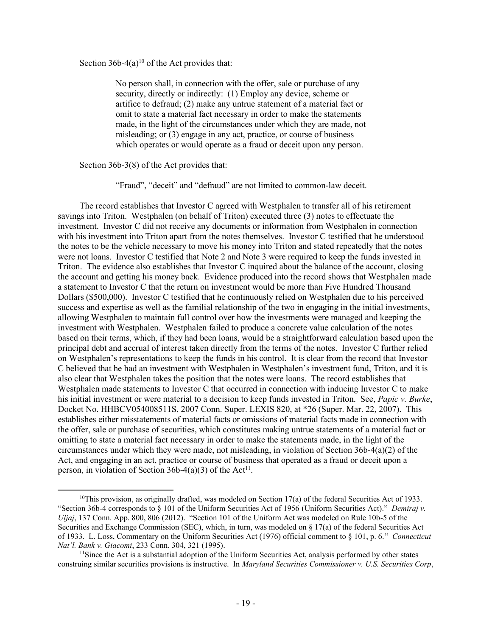Section  $36b-4(a)^{10}$  of the Act provides that:

No person shall, in connection with the offer, sale or purchase of any security, directly or indirectly: (1) Employ any device, scheme or artifice to defraud; (2) make any untrue statement of a material fact or omit to state a material fact necessary in order to make the statements made, in the light of the circumstances under which they are made, not misleading; or (3) engage in any act, practice, or course of business which operates or would operate as a fraud or deceit upon any person.

Section 36b-3(8) of the Act provides that:

"Fraud", "deceit" and "defraud" are not limited to common-law deceit.

The record establishes that Investor C agreed with Westphalen to transfer all of his retirement savings into Triton. Westphalen (on behalf of Triton) executed three (3) notes to effectuate the investment. Investor C did not receive any documents or information from Westphalen in connection with his investment into Triton apart from the notes themselves. Investor C testified that he understood the notes to be the vehicle necessary to move his money into Triton and stated repeatedly that the notes were not loans. Investor C testified that Note 2 and Note 3 were required to keep the funds invested in Triton. The evidence also establishes that Investor C inquired about the balance of the account, closing the account and getting his money back. Evidence produced into the record shows that Westphalen made a statement to Investor C that the return on investment would be more than Five Hundred Thousand Dollars (\$500,000). Investor C testified that he continuously relied on Westphalen due to his perceived success and expertise as well as the familial relationship of the two in engaging in the initial investments, allowing Westphalen to maintain full control over how the investments were managed and keeping the investment with Westphalen. Westphalen failed to produce a concrete value calculation of the notes based on their terms, which, if they had been loans, would be a straightforward calculation based upon the principal debt and accrual of interest taken directly from the terms of the notes. Investor C further relied on Westphalen's representations to keep the funds in his control. It is clear from the record that Investor C believed that he had an investment with Westphalen in Westphalen's investment fund, Triton, and it is also clear that Westphalen takes the position that the notes were loans. The record establishes that Westphalen made statements to Investor C that occurred in connection with inducing Investor C to make his initial investment or were material to a decision to keep funds invested in Triton. See, *Papic v. Burke*, Docket No. HHBCV054008511S, 2007 Conn. Super. LEXIS 820, at \*26 (Super. Mar. 22, 2007). This establishes either misstatements of material facts or omissions of material facts made in connection with the offer, sale or purchase of securities, which constitutes making untrue statements of a material fact or omitting to state a material fact necessary in order to make the statements made, in the light of the circumstances under which they were made, not misleading, in violation of Section 36b-4(a)(2) of the Act, and engaging in an act, practice or course of business that operated as a fraud or deceit upon a person, in violation of Section 36b-4(a)(3) of the Act<sup>11</sup>.

<sup>&</sup>lt;sup>10</sup>This provision, as originally drafted, was modeled on Section 17(a) of the federal Securities Act of 1933. "Section 36b-4 corresponds to § 101 of the Uniform Securities Act of 1956 (Uniform Securities Act)." *Demiraj v. Uljaj*, 137 Conn. App. 800, 806 (2012). "Section 101 of the Uniform Act was modeled on Rule 10b-5 of the Securities and Exchange Commission (SEC), which, in turn, was modeled on § 17(a) of the federal Securities Act of 1933. L. Loss, Commentary on the Uniform Securities Act (1976) official comment to § 101, p. 6." *Connecticut Nat'l. Bank v. Giacomi*, 233 Conn. 304, 321 (1995).

 $11$ Since the Act is a substantial adoption of the Uniform Securities Act, analysis performed by other states construing similar securities provisions is instructive. In *Maryland Securities Commissioner v. U.S. Securities Corp*,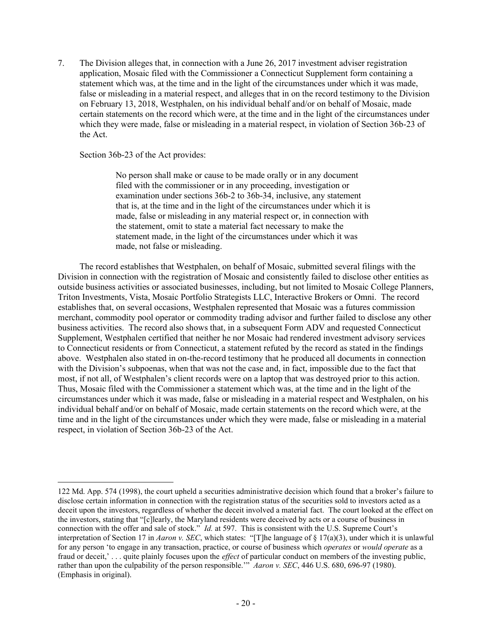7. The Division alleges that, in connection with a June 26, 2017 investment adviser registration application, Mosaic filed with the Commissioner a Connecticut Supplement form containing a statement which was, at the time and in the light of the circumstances under which it was made, false or misleading in a material respect, and alleges that in on the record testimony to the Division on February 13, 2018, Westphalen, on his individual behalf and/or on behalf of Mosaic, made certain statements on the record which were, at the time and in the light of the circumstances under which they were made, false or misleading in a material respect, in violation of Section 36b-23 of the Act.

### Section 36b-23 of the Act provides:

No person shall make or cause to be made orally or in any document filed with the commissioner or in any proceeding, investigation or examination under sections 36b-2 to 36b-34, inclusive, any statement that is, at the time and in the light of the circumstances under which it is made, false or misleading in any material respect or, in connection with the statement, omit to state a material fact necessary to make the statement made, in the light of the circumstances under which it was made, not false or misleading.

The record establishes that Westphalen, on behalf of Mosaic, submitted several filings with the Division in connection with the registration of Mosaic and consistently failed to disclose other entities as outside business activities or associated businesses, including, but not limited to Mosaic College Planners, Triton Investments, Vista, Mosaic Portfolio Strategists LLC, Interactive Brokers or Omni. The record establishes that, on several occasions, Westphalen represented that Mosaic was a futures commission merchant, commodity pool operator or commodity trading advisor and further failed to disclose any other business activities. The record also shows that, in a subsequent Form ADV and requested Connecticut Supplement, Westphalen certified that neither he nor Mosaic had rendered investment advisory services to Connecticut residents or from Connecticut, a statement refuted by the record as stated in the findings above. Westphalen also stated in on-the-record testimony that he produced all documents in connection with the Division's subpoenas, when that was not the case and, in fact, impossible due to the fact that most, if not all, of Westphalen's client records were on a laptop that was destroyed prior to this action. Thus, Mosaic filed with the Commissioner a statement which was, at the time and in the light of the circumstances under which it was made, false or misleading in a material respect and Westphalen, on his individual behalf and/or on behalf of Mosaic, made certain statements on the record which were, at the time and in the light of the circumstances under which they were made, false or misleading in a material respect, in violation of Section 36b-23 of the Act.

<sup>122</sup> Md. App. 574 (1998), the court upheld a securities administrative decision which found that a broker's failure to disclose certain information in connection with the registration status of the securities sold to investors acted as a deceit upon the investors, regardless of whether the deceit involved a material fact. The court looked at the effect on the investors, stating that "[c]learly, the Maryland residents were deceived by acts or a course of business in connection with the offer and sale of stock." *Id.* at 597. This is consistent with the U.S. Supreme Court's interpretation of Section 17 in *Aaron v. SEC*, which states: "[T]he language of § 17(a)(3), under which it is unlawful for any person 'to engage in any transaction, practice, or course of business which *operates* or *would operate* as a fraud or deceit,' . . . quite plainly focuses upon the *effect* of particular conduct on members of the investing public, rather than upon the culpability of the person responsible.'" *Aaron v. SEC*, 446 U.S. 680, 696-97 (1980). (Emphasis in original).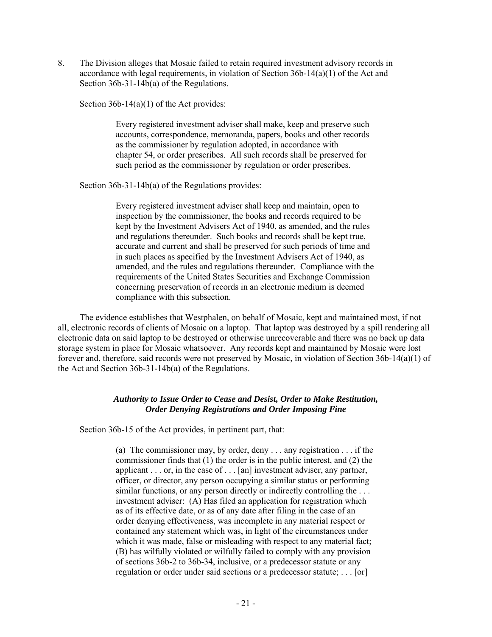8. The Division alleges that Mosaic failed to retain required investment advisory records in accordance with legal requirements, in violation of Section  $36b-14(a)(1)$  of the Act and Section 36b-31-14b(a) of the Regulations.

Section 36b-14(a)(1) of the Act provides:

Every registered investment adviser shall make, keep and preserve such accounts, correspondence, memoranda, papers, books and other records as the commissioner by regulation adopted, in accordance with chapter 54, or order prescribes. All such records shall be preserved for such period as the commissioner by regulation or order prescribes.

Section 36b-31-14b(a) of the Regulations provides:

Every registered investment adviser shall keep and maintain, open to inspection by the commissioner, the books and records required to be kept by the Investment Advisers Act of 1940, as amended, and the rules and regulations thereunder. Such books and records shall be kept true, accurate and current and shall be preserved for such periods of time and in such places as specified by the Investment Advisers Act of 1940, as amended, and the rules and regulations thereunder. Compliance with the requirements of the United States Securities and Exchange Commission concerning preservation of records in an electronic medium is deemed compliance with this subsection.

The evidence establishes that Westphalen, on behalf of Mosaic, kept and maintained most, if not all, electronic records of clients of Mosaic on a laptop. That laptop was destroyed by a spill rendering all electronic data on said laptop to be destroyed or otherwise unrecoverable and there was no back up data storage system in place for Mosaic whatsoever. Any records kept and maintained by Mosaic were lost forever and, therefore, said records were not preserved by Mosaic, in violation of Section 36b-14(a)(1) of the Act and Section 36b-31-14b(a) of the Regulations.

# *Authority to Issue Order to Cease and Desist, Order to Make Restitution, Order Denying Registrations and Order Imposing Fine*

Section 36b-15 of the Act provides, in pertinent part, that:

(a) The commissioner may, by order, deny . . . any registration . . . if the commissioner finds that (1) the order is in the public interest, and (2) the applicant . . . or, in the case of . . . [an] investment adviser, any partner, officer, or director, any person occupying a similar status or performing similar functions, or any person directly or indirectly controlling the ... investment adviser: (A) Has filed an application for registration which as of its effective date, or as of any date after filing in the case of an order denying effectiveness, was incomplete in any material respect or contained any statement which was, in light of the circumstances under which it was made, false or misleading with respect to any material fact; (B) has wilfully violated or wilfully failed to comply with any provision of sections 36b-2 to 36b-34, inclusive, or a predecessor statute or any regulation or order under said sections or a predecessor statute; . . . [or]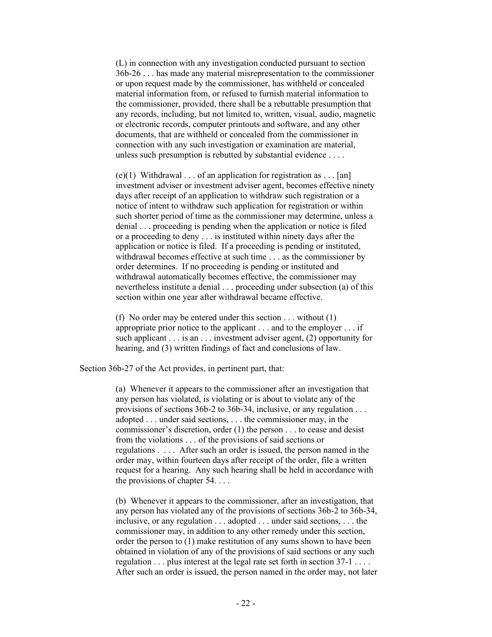(L) in connection with any investigation conducted pursuant to section 36b-26 . . . has made any material misrepresentation to the commissioner or upon request made by the commissioner, has withheld or concealed material information from, or refused to furnish material information to the commissioner, provided, there shall be a rebuttable presumption that any records, including, but not limited to, written, visual, audio, magnetic or electronic records, computer printouts and software, and any other documents, that are withheld or concealed from the commissioner in connection with any such investigation or examination are material, unless such presumption is rebutted by substantial evidence . . . .

(e)(1) Withdrawal . . . of an application for registration as . . . [an] investment adviser or investment adviser agent, becomes effective ninety days after receipt of an application to withdraw such registration or a notice of intent to withdraw such application for registration or within such shorter period of time as the commissioner may determine, unless a denial . . . proceeding is pending when the application or notice is filed or a proceeding to deny . . . is instituted within ninety days after the application or notice is filed. If a proceeding is pending or instituted, withdrawal becomes effective at such time . . . as the commissioner by order determines. If no proceeding is pending or instituted and withdrawal automatically becomes effective, the commissioner may nevertheless institute a denial . . . proceeding under subsection (a) of this section within one year after withdrawal became effective.

(f) No order may be entered under this section . . . without (1) appropriate prior notice to the applicant . . . and to the employer . . . if such applicant  $\dots$  is an  $\dots$  investment adviser agent, (2) opportunity for hearing, and (3) written findings of fact and conclusions of law.

Section 36b-27 of the Act provides, in pertinent part, that:

(a) Whenever it appears to the commissioner after an investigation that any person has violated, is violating or is about to violate any of the provisions of sections 36b-2 to 36b-34, inclusive, or any regulation . . . adopted . . . under said sections, . . . the commissioner may, in the commissioner's discretion, order (1) the person . . . to cease and desist from the violations . . . of the provisions of said sections or regulations . . . . After such an order is issued, the person named in the order may, within fourteen days after receipt of the order, file a written request for a hearing. Any such hearing shall be held in accordance with the provisions of chapter 54. . . .

(b) Whenever it appears to the commissioner, after an investigation, that any person has violated any of the provisions of sections 36b-2 to 36b-34, inclusive, or any regulation . . . adopted . . . under said sections, . . . the commissioner may, in addition to any other remedy under this section, order the person to (1) make restitution of any sums shown to have been obtained in violation of any of the provisions of said sections or any such regulation . . . plus interest at the legal rate set forth in section 37-1 . . . . After such an order is issued, the person named in the order may, not later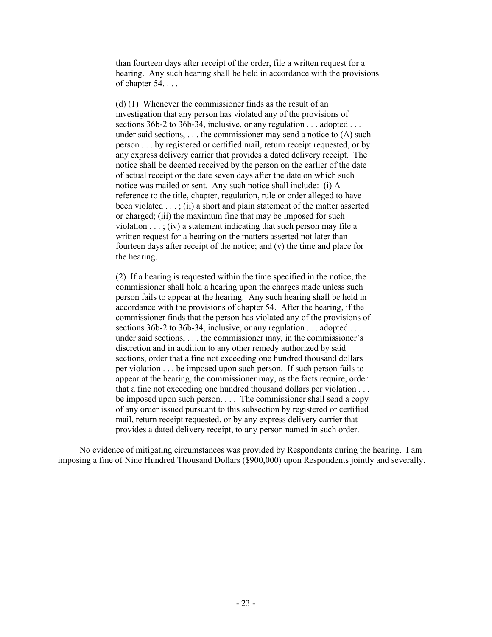than fourteen days after receipt of the order, file a written request for a hearing. Any such hearing shall be held in accordance with the provisions of chapter 54. . . .

(d) (1) Whenever the commissioner finds as the result of an investigation that any person has violated any of the provisions of sections 36b-2 to 36b-34, inclusive, or any regulation . . . adopted . . . under said sections,  $\dots$  the commissioner may send a notice to  $(A)$  such person . . . by registered or certified mail, return receipt requested, or by any express delivery carrier that provides a dated delivery receipt. The notice shall be deemed received by the person on the earlier of the date of actual receipt or the date seven days after the date on which such notice was mailed or sent. Any such notice shall include: (i) A reference to the title, chapter, regulation, rule or order alleged to have been violated . . . ; (ii) a short and plain statement of the matter asserted or charged; (iii) the maximum fine that may be imposed for such violation  $\ldots$ ; (iv) a statement indicating that such person may file a written request for a hearing on the matters asserted not later than fourteen days after receipt of the notice; and (v) the time and place for the hearing.

(2) If a hearing is requested within the time specified in the notice, the commissioner shall hold a hearing upon the charges made unless such person fails to appear at the hearing. Any such hearing shall be held in accordance with the provisions of chapter 54. After the hearing, if the commissioner finds that the person has violated any of the provisions of sections 36b-2 to 36b-34, inclusive, or any regulation . . . adopted . . . under said sections, . . . the commissioner may, in the commissioner's discretion and in addition to any other remedy authorized by said sections, order that a fine not exceeding one hundred thousand dollars per violation . . . be imposed upon such person. If such person fails to appear at the hearing, the commissioner may, as the facts require, order that a fine not exceeding one hundred thousand dollars per violation . . . be imposed upon such person. . . . The commissioner shall send a copy of any order issued pursuant to this subsection by registered or certified mail, return receipt requested, or by any express delivery carrier that provides a dated delivery receipt, to any person named in such order.

No evidence of mitigating circumstances was provided by Respondents during the hearing. I am imposing a fine of Nine Hundred Thousand Dollars (\$900,000) upon Respondents jointly and severally.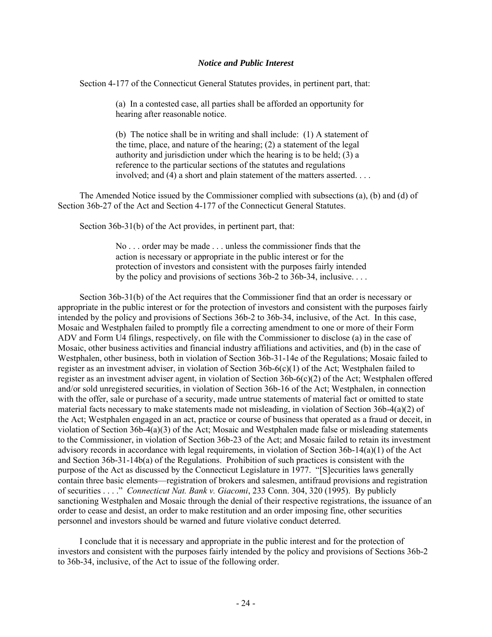#### *Notice and Public Interest*

Section 4-177 of the Connecticut General Statutes provides, in pertinent part, that:

(a) In a contested case, all parties shall be afforded an opportunity for hearing after reasonable notice.

(b) The notice shall be in writing and shall include: (1) A statement of the time, place, and nature of the hearing; (2) a statement of the legal authority and jurisdiction under which the hearing is to be held; (3) a reference to the particular sections of the statutes and regulations involved; and (4) a short and plain statement of the matters asserted. . . .

The Amended Notice issued by the Commissioner complied with subsections (a), (b) and (d) of Section 36b-27 of the Act and Section 4-177 of the Connecticut General Statutes.

Section 36b-31(b) of the Act provides, in pertinent part, that:

No . . . order may be made . . . unless the commissioner finds that the action is necessary or appropriate in the public interest or for the protection of investors and consistent with the purposes fairly intended by the policy and provisions of sections 36b-2 to 36b-34, inclusive. . . .

Section 36b-31(b) of the Act requires that the Commissioner find that an order is necessary or appropriate in the public interest or for the protection of investors and consistent with the purposes fairly intended by the policy and provisions of Sections 36b-2 to 36b-34, inclusive, of the Act. In this case, Mosaic and Westphalen failed to promptly file a correcting amendment to one or more of their Form ADV and Form U4 filings, respectively, on file with the Commissioner to disclose (a) in the case of Mosaic, other business activities and financial industry affiliations and activities, and (b) in the case of Westphalen, other business, both in violation of Section 36b-31-14e of the Regulations; Mosaic failed to register as an investment adviser, in violation of Section 36b-6(c)(1) of the Act; Westphalen failed to register as an investment adviser agent, in violation of Section 36b-6(c)(2) of the Act; Westphalen offered and/or sold unregistered securities, in violation of Section 36b-16 of the Act; Westphalen, in connection with the offer, sale or purchase of a security, made untrue statements of material fact or omitted to state material facts necessary to make statements made not misleading, in violation of Section 36b-4(a)(2) of the Act; Westphalen engaged in an act, practice or course of business that operated as a fraud or deceit, in violation of Section 36b-4(a)(3) of the Act; Mosaic and Westphalen made false or misleading statements to the Commissioner, in violation of Section 36b-23 of the Act; and Mosaic failed to retain its investment advisory records in accordance with legal requirements, in violation of Section 36b-14(a)(1) of the Act and Section 36b-31-14b(a) of the Regulations. Prohibition of such practices is consistent with the purpose of the Act as discussed by the Connecticut Legislature in 1977. "[S]ecurities laws generally contain three basic elements—registration of brokers and salesmen, antifraud provisions and registration of securities . . . ." *Connecticut Nat. Bank v. Giacomi*, 233 Conn. 304, 320 (1995). By publicly sanctioning Westphalen and Mosaic through the denial of their respective registrations, the issuance of an order to cease and desist, an order to make restitution and an order imposing fine, other securities personnel and investors should be warned and future violative conduct deterred.

I conclude that it is necessary and appropriate in the public interest and for the protection of investors and consistent with the purposes fairly intended by the policy and provisions of Sections 36b-2 to 36b-34, inclusive, of the Act to issue of the following order.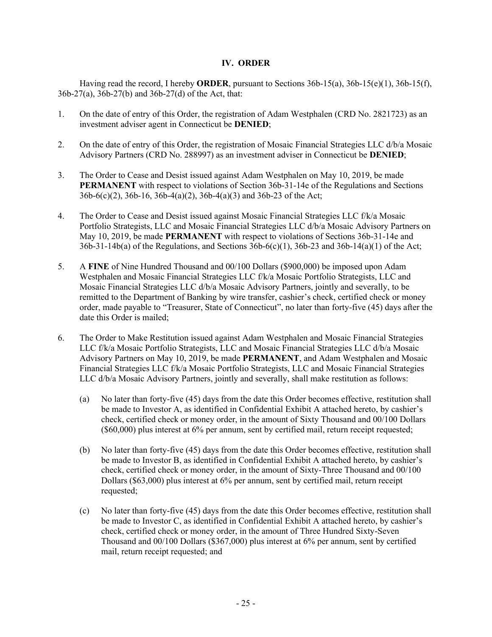# **IV. ORDER**

Having read the record, I hereby **ORDER**, pursuant to Sections 36b-15(a), 36b-15(e)(1), 36b-15(f), 36b-27(a), 36b-27(b) and 36b-27(d) of the Act, that:

- 1. On the date of entry of this Order, the registration of Adam Westphalen (CRD No. 2821723) as an investment adviser agent in Connecticut be **DENIED**;
- 2. On the date of entry of this Order, the registration of Mosaic Financial Strategies LLC d/b/a Mosaic Advisory Partners (CRD No. 288997) as an investment adviser in Connecticut be **DENIED**;
- 3. The Order to Cease and Desist issued against Adam Westphalen on May 10, 2019, be made **PERMANENT** with respect to violations of Section 36b-31-14e of the Regulations and Sections 36b-6(c)(2), 36b-16, 36b-4(a)(2), 36b-4(a)(3) and 36b-23 of the Act;
- 4. The Order to Cease and Desist issued against Mosaic Financial Strategies LLC f/k/a Mosaic Portfolio Strategists, LLC and Mosaic Financial Strategies LLC d/b/a Mosaic Advisory Partners on May 10, 2019, be made **PERMANENT** with respect to violations of Sections 36b-31-14e and  $36b-31-14b(a)$  of the Regulations, and Sections  $36b-6(c)(1)$ ,  $36b-23$  and  $36b-14(a)(1)$  of the Act;
- 5. A **FINE** of Nine Hundred Thousand and 00/100 Dollars (\$900,000) be imposed upon Adam Westphalen and Mosaic Financial Strategies LLC f/k/a Mosaic Portfolio Strategists, LLC and Mosaic Financial Strategies LLC d/b/a Mosaic Advisory Partners, jointly and severally, to be remitted to the Department of Banking by wire transfer, cashier's check, certified check or money order, made payable to "Treasurer, State of Connecticut", no later than forty-five (45) days after the date this Order is mailed;
- 6. The Order to Make Restitution issued against Adam Westphalen and Mosaic Financial Strategies LLC f/k/a Mosaic Portfolio Strategists, LLC and Mosaic Financial Strategies LLC d/b/a Mosaic Advisory Partners on May 10, 2019, be made **PERMANENT**, and Adam Westphalen and Mosaic Financial Strategies LLC f/k/a Mosaic Portfolio Strategists, LLC and Mosaic Financial Strategies LLC d/b/a Mosaic Advisory Partners, jointly and severally, shall make restitution as follows:
	- (a) No later than forty-five (45) days from the date this Order becomes effective, restitution shall be made to Investor A, as identified in Confidential Exhibit A attached hereto, by cashier's check, certified check or money order, in the amount of Sixty Thousand and 00/100 Dollars (\$60,000) plus interest at 6% per annum, sent by certified mail, return receipt requested;
	- (b) No later than forty-five (45) days from the date this Order becomes effective, restitution shall be made to Investor B, as identified in Confidential Exhibit A attached hereto, by cashier's check, certified check or money order, in the amount of Sixty-Three Thousand and 00/100 Dollars (\$63,000) plus interest at 6% per annum, sent by certified mail, return receipt requested;
	- (c) No later than forty-five (45) days from the date this Order becomes effective, restitution shall be made to Investor C, as identified in Confidential Exhibit A attached hereto, by cashier's check, certified check or money order, in the amount of Three Hundred Sixty-Seven Thousand and 00/100 Dollars (\$367,000) plus interest at 6% per annum, sent by certified mail, return receipt requested; and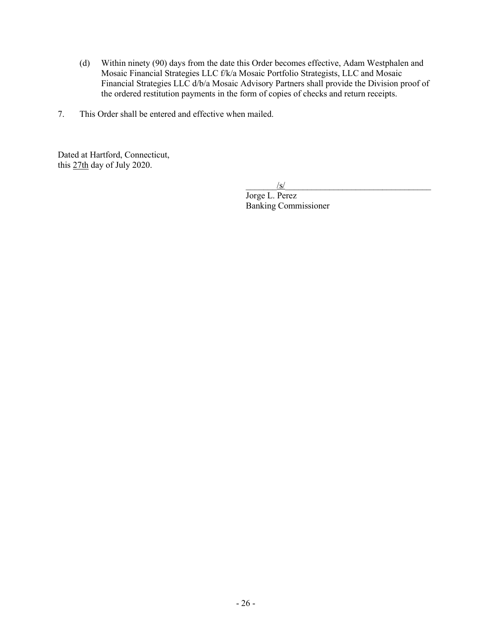- (d) Within ninety (90) days from the date this Order becomes effective, Adam Westphalen and Mosaic Financial Strategies LLC f/k/a Mosaic Portfolio Strategists, LLC and Mosaic Financial Strategies LLC d/b/a Mosaic Advisory Partners shall provide the Division proof of the ordered restitution payments in the form of copies of checks and return receipts.
- 7. This Order shall be entered and effective when mailed.

Dated at Hartford, Connecticut, this 27th day of July 2020.

 $\frac{1}{s}$ 

Jorge L. Perez Banking Commissioner